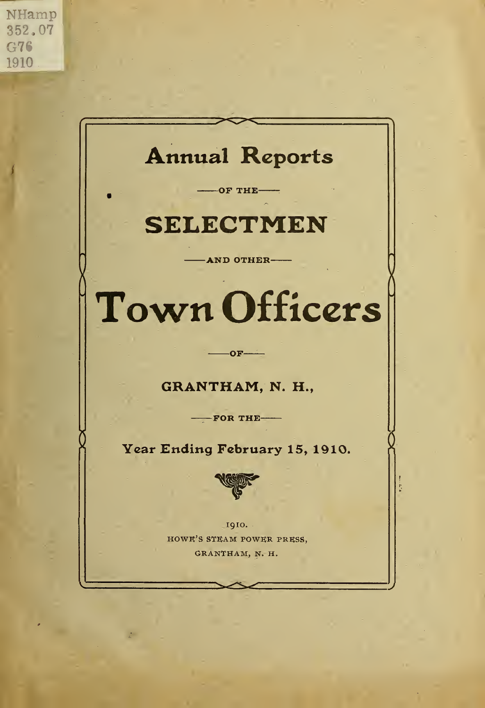NHamp 352.07  $G76$ 1910



 $\ddot{a}$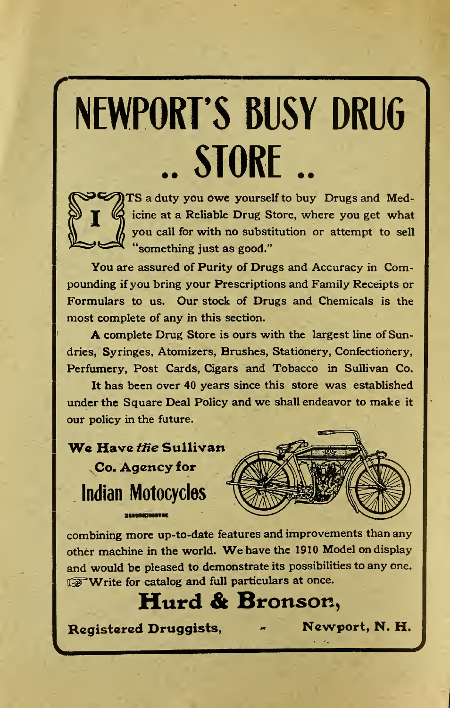# NEWPORT'S BUSY DRUG STORE



TS a duty you owe yourself to buy Drugs and Medicine at a Reliable Drug Store, where you get what you call for with no substitution or attempt to sell 'something just as good."

You are assured of Purity of Drugs and Accuracy in Compounding if you bring your Prescriptions and Family Receipts or Formulars to us. Our stock of Drugs and Chemicals is the most complete of any in this section.

A complete Drug Store is ours with the largest line of Sundries, Syringes, Atomizers, Brushes, Stationery, Confectionery, Perfumery, Post Cards, Cigars and Tobacco in Sullivan Co.

It has been over 40 years since this store was established under the Square Deal Policy and we shall endeavor to make it our policy in the future.

We Have the Sullivan Co. Agency for <sup>&</sup>lt;^^^^^P^!lli§) Indian Motocycles

combining more up-to-date features and improvements than any other machine in the world. We have the <sup>1910</sup> Model on display and would be pleased to demonstrate its possibilities to any one.<br> **EXECUTE:** Write for catalog and full particulars at once.

#### Hurd & Bronson,

Registered Druggists,  $\blacksquare$  Newport, N. H.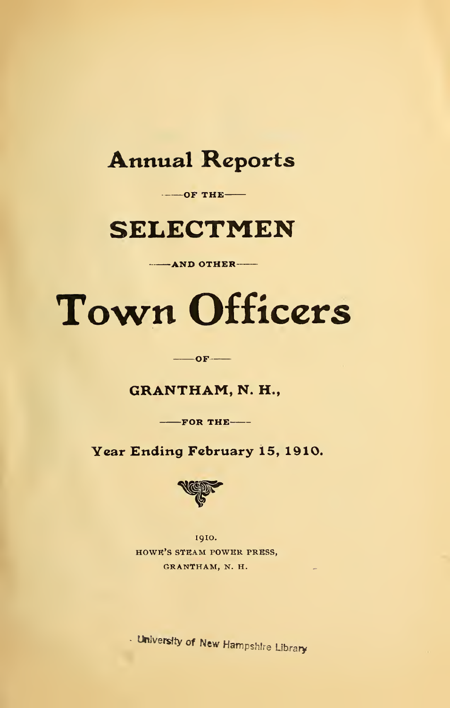#### Annual Reports

 $--$ OF THE $--$ 

#### SELECTMEN

#### -AND OTHER-

# Town Officers

#### GRANTHAM, N. H.,

 $-$ OF $-$ 

 $-$ FOR THE- $-$ 

Year Ending February 15, 1910.



1910. HOWR'S STEAM POWER PRESS, GRANTHAM, N. H.

University of New Hampshire Library

÷.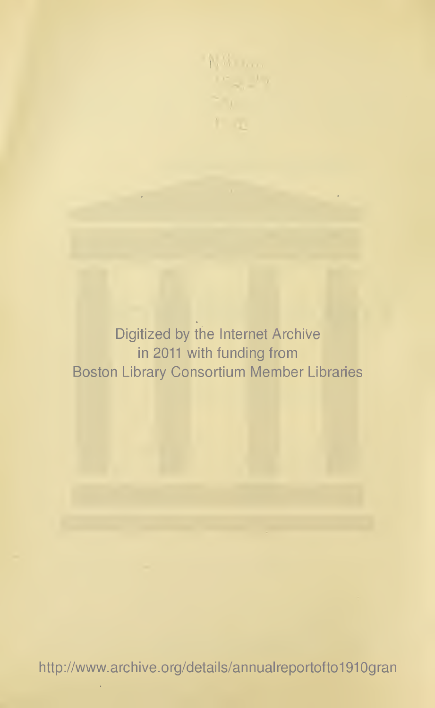

Digitized by the Internet Archive in 2011 with funding from Boston Library Consortium Member Libraries

http://www.archive.org/details/annualreportofto1910gran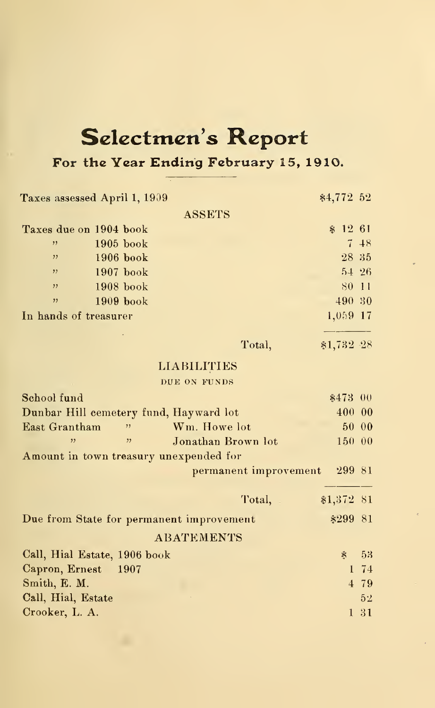# Selectmen's Report

For the Year Ending February 15, 1910.

| Taxes assessed April 1, 1909 |             |        |                                          | *4,772 52  |       |
|------------------------------|-------------|--------|------------------------------------------|------------|-------|
|                              |             |        | <b>ASSETS</b>                            |            |       |
| Taxes due on 1904 book       |             |        |                                          | \$1261     |       |
| , ,                          | $1905$ book |        |                                          |            | 7.48  |
| , ,                          | $1906$ book |        |                                          | 28 35      |       |
| ,7                           | 1907 book   |        |                                          | 54 26      |       |
| , ,                          | $1908$ book |        |                                          | 80 11      |       |
| , 2, 3                       | $1909$ book |        |                                          | 490 30     |       |
| In hands of treasurer        |             |        |                                          | 1,059 17   |       |
|                              |             |        | Total,                                   | \$1,732 28 |       |
|                              |             |        | <b>LIABILITIES</b>                       |            |       |
|                              |             |        | DUE ON FUNDS                             |            |       |
| School fund                  |             |        |                                          | \$473 00   |       |
|                              |             |        | Dunbar Hill cemetery fund, Hayward lot   | 400 00     |       |
| East Grantham                |             | ,1     | Wm. Howe lot                             |            | 50 00 |
| , 2)                         |             | , 2)   | Jonathan Brown lot                       | 150 00     |       |
|                              |             |        | Amount in town treasury unexpended for   |            |       |
|                              |             |        | permanent improvement                    | 299 81     |       |
|                              |             |        | Total,                                   | \$1,372 81 |       |
|                              |             |        | Due from State for permanent improvement | *299 81    |       |
|                              |             |        | <b>ABATEMENTS</b>                        |            |       |
| Call, Hial Estate, 1906 book |             |        |                                          | 头          | 53    |
| Capron, Ernest               |             | - 1907 |                                          |            | 1 74  |
| Smith, E. M.                 |             |        |                                          |            | 4 79  |
| Call, Hial, Estate           |             |        |                                          |            | 52    |
| Crooker, L. A.               |             |        |                                          |            | 1 31  |
|                              |             |        |                                          |            |       |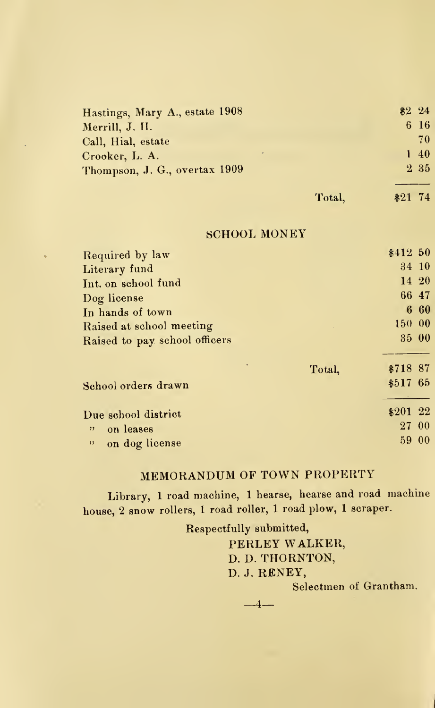| Hastings, Mary A., estate 1908 | $$2\ 24$ |          |
|--------------------------------|----------|----------|
| Merrill, J. II.                |          | $6 \t16$ |
| Call, Hial, estate             |          | 70       |
| $\epsilon$<br>Crooker, L. A.   |          | $1\;40$  |
| Thompson, J. G., overtax 1909  |          | 2 35     |
|                                |          |          |

Total,  $$21\,74$ 

#### SCHOOL MONEY

| Required by law               |        | \$41250   |      |
|-------------------------------|--------|-----------|------|
| Literary fund                 |        | 34 10     |      |
| Int. on school fund           |        | 14 20     |      |
| Dog license                   |        | 66 47     |      |
| In hands of town              |        |           | 6 60 |
| Raised at school meeting      |        | 150 00    |      |
| Raised to pay school officers |        | 35 00     |      |
|                               |        |           |      |
| ×                             | Total, | *718 87   |      |
| School orders drawn           |        | \$51765   |      |
|                               |        |           |      |
| Due school district           |        | \$201~~22 |      |
| on leases<br>, ,              |        | 27 00     |      |
| on dog license<br>, ,         |        | 59 00     |      |
|                               |        |           |      |

#### MEMORANDUM OF TOWN PROPERTY

Library, <sup>1</sup> road machine, <sup>1</sup> hearse, hearse and road machine house, 2 snow rollers, <sup>1</sup> road roller, <sup>1</sup> road plow, <sup>1</sup> scraper.

Respectfully submitted,

PERLEY WALKER,

D. D. THORNTON,

#### D. J. RENEY,

Selectmen of Grantham.

 $-4-$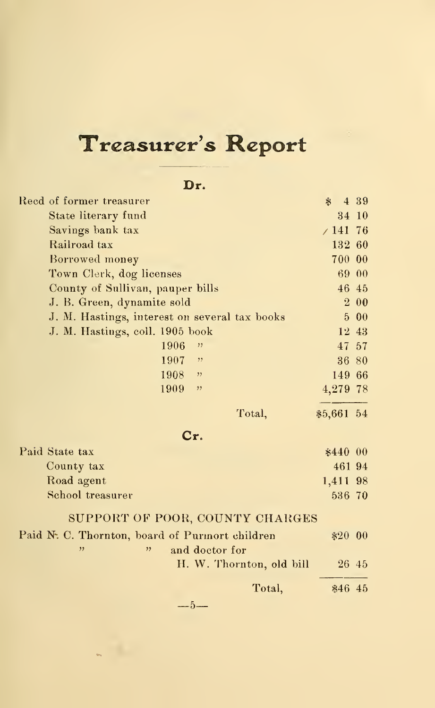# Treasurer's Report

| Dr.                                            |            |      |
|------------------------------------------------|------------|------|
| Reed of former treasurer                       | $\ast$     | 4 39 |
| State literary fund                            | 34 10      |      |
| Savings bank tax                               | /14176     |      |
| Railroad tax                                   | 132 60     |      |
| Borrowed money                                 | 700 00     |      |
| Town Clerk, dog licenses                       | 69 00      |      |
| County of Sullivan, pauper bills               | 46 45      |      |
| J. B. Green, dynamite sold                     |            | 2 00 |
| J. M. Hastings, interest on several tax books  |            | 500  |
| J. M. Hastings, coll. 1905 book                | 12 43      |      |
| 1906<br>,,                                     | 47 57      |      |
| 1907<br>, ,                                    | 36 80      |      |
| 1908<br>, 2, 3                                 | 149 66     |      |
| 1909<br>, 2                                    | 4,279 78   |      |
| Total,                                         | \$5,661 54 |      |
| Cr.                                            |            |      |
| Paid State tax                                 | \$440~00   |      |
| County tax                                     | 461 94     |      |
| Road agent                                     | 1,411 98   |      |
| School treasurer                               | 536 70     |      |
| SUPPORT OF POOR, COUNTY CHARGES                |            |      |
| Paid N. C. Thornton, board of Purmort children | \$200      |      |
| and doctor for<br>,,<br>, ,                    |            |      |
| H. W. Thornton, old bill                       | 26 45      |      |
| Total,                                         | \$46 45    |      |
| $-5-$                                          |            |      |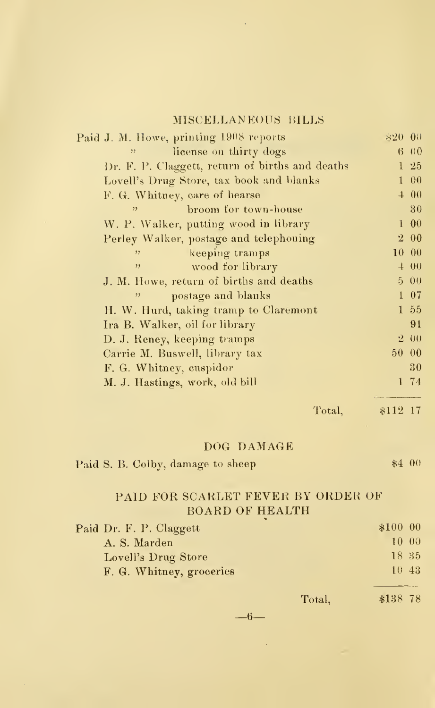#### MISCELLANEOUS BILLS

 $\epsilon$ 

| Paid J. M. Howe, printing 1908 reports          | \$2000 |                  |
|-------------------------------------------------|--------|------------------|
| license on thirty dogs<br>22                    |        | 600              |
| Dr. F. P. Claggett, return of births and deaths |        | $1\,25$          |
| Lovell's Drug Store, tax book and blanks        |        | $1\ \ 00$        |
| F. G. Whitney, care of hearse                   |        | $4\overline{00}$ |
| broom for town-house<br>22                      |        | 30               |
| W. P. Walker, putting wood in library           |        | $1\ \ 00$        |
| Perley Walker, postage and telephoning          |        | $2\overline{00}$ |
| keeping tramps<br>, 2, 3                        |        | 10 00            |
| wood for library<br>, ,                         |        | 400              |
| J. M. Howe, return of births and deaths         |        | 500              |
| postage and blanks<br>, 2, 3                    |        | $1 \t07$         |
| H. W. Hurd, taking tramp to Claremont           |        | 1 55             |
| Ira B. Walker, oil for library                  |        | 91               |
| D. J. Reney, keeping tramps                     |        | 200              |
| Carrie M. Buswell, library tax                  | 50 00  |                  |
| F. G. Whitney, cuspidor                         |        | 30               |
| M. J. Hastings, work, old bill                  |        | 1 74             |
|                                                 |        |                  |

Total,

\$112 17

#### DOG DAMAGE

Paid S. B. Colby, damage to sheep  $\qquad$  \$4 00

#### PAID FOR SCARLET FEVER BY ORDER OF BOARD OF HEALTH

| Paid Dr. F. P. Claggett  | \$10000    |
|--------------------------|------------|
| A. S. Marden             | 1000       |
| Lovell's Drug Store      | 18 35      |
| F. G. Whitney, groceries | $10 \t 43$ |
|                          |            |
|                          |            |

 $-6-$ 

Total,

\$138 78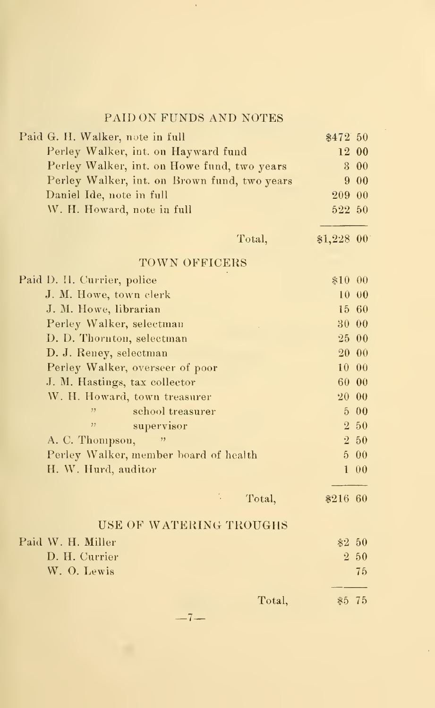| PAID ON FUNDS AND NOTES                      |             |      |
|----------------------------------------------|-------------|------|
| Paid G. H. Walker, note in full              | \$472 50    |      |
| Perley Walker, int. on Hayward fund          | 12 00       |      |
| Perley Walker, int. on Howe fund, two years  |             | 3 00 |
| Perley Walker, int. on Brown fund, two years |             | 9 00 |
| Daniel Ide, note in full                     | 209 00      |      |
| W. H. Howard, note in full                   | 522 50      |      |
| Total,                                       | $$1,228$ 00 |      |
| <b>TOWN OFFICERS</b>                         |             |      |
| Paid D. II. Currier, police                  | \$1000      |      |
| J. M. Howe, town clerk                       | 10 00       |      |
| J. M. Howe, librarian                        | 15 60       |      |
| Perley Walker, selectman                     | 30 00       |      |
| D. D. Thornton, selectman                    | 25 00       |      |
| D. J. Reney, selectman                       | 20 00       |      |
| Perley Walker, overseer of poor              | 10 00       |      |
| J. M. Hastings, tax collector                | 60 00       |      |
| W. H. Howard, town treasurer                 | 20 00       |      |
| school treasurer<br>, ,                      |             | 500  |
| supervisor<br>77                             |             | 2 50 |
| A. C. Thompson,<br>$^{\prime}$               |             | 2 50 |
| Perley Walker, member board of health        |             | 500  |
| H. W. Hurd, auditor                          |             | 100  |
| Total,                                       | \$216 60    |      |
| USE OF WATERING TROUGHS                      |             |      |
| Paid W. H. Miller                            | \$250       |      |
| D. H. Currier                                |             | 2 50 |
| W. O. Lewis                                  |             | 75   |
| Total,                                       | \$5 75      |      |
|                                              |             |      |

Ŷ,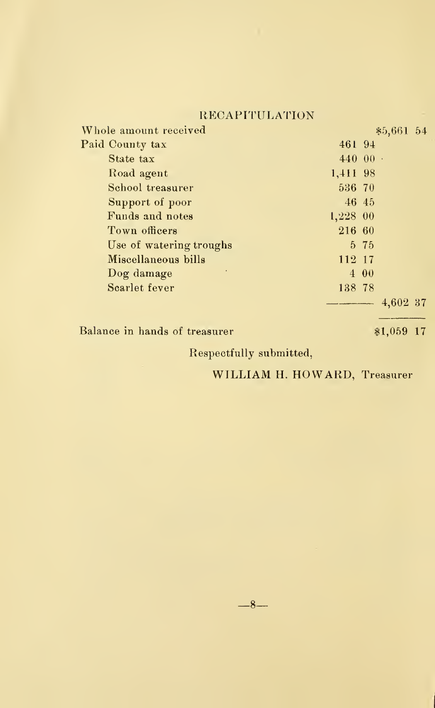|            | $$5,661$ 54 |
|------------|-------------|
| 461 94     |             |
|            | $440.00$ .  |
| 1,411 98   |             |
| 536 70     |             |
|            | 46 45       |
| $1,228$ 00 |             |
| 216 60     |             |
|            | 5 75        |
| 112 17     |             |
|            | 400         |
| 138 78     |             |
|            | 4,602 37    |
|            | \$1,059 17  |
|            |             |

Respectfully submitted,

WILLIAM H. HOWARD, Treasurer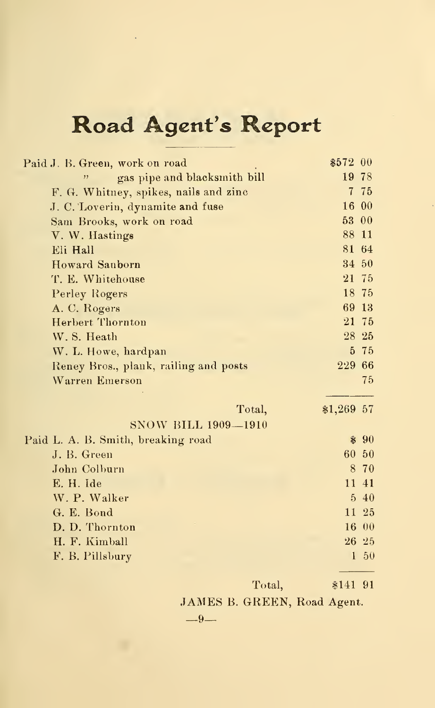### Road Agent's Report

| Paid J. B. Green, work on road        | \$572 00   |         |
|---------------------------------------|------------|---------|
| gas pipe and blacksmith bill          | 19 78      |         |
| F. G. Whitney, spikes, nails and zinc |            | 7 75    |
| J. C. Loverin, dynamite and fuse      | 16 00      |         |
| Sam Brooks, work on road              | 53 00      |         |
| V. W. Hastings                        | 88 11      |         |
| Eli Hall                              | 81 64      |         |
| Howard Sanborn                        | 34 50      |         |
| T. E. Whitehouse                      | 21 75      |         |
| Perley Rogers                         | 18 75      |         |
| A. C. Rogers                          | 69 13      |         |
| <b>Herbert Thornton</b>               |            | 21 75   |
| W.S. Heath                            |            | 28 25   |
| W. L. Howe, hardpan                   |            | 5 75    |
| Reney Bros., plank, railing and posts | 229 66     |         |
| <b>Warren Emerson</b>                 |            | 75      |
| Total,                                | \$1,269 57 |         |
| <b>SNOW BILL 1909-1910</b>            |            |         |
| Paid L. A. B. Smith, breaking road    |            | \$90    |
| J. B. Green                           |            | 60 50   |
| John Colburn                          |            | 8 70    |
| E. H. Ide                             |            | 11 41   |
| W. P. Walker                          |            | $5\,40$ |
| G. E. Bond                            |            | 11 25   |
| D. D. Thornton                        |            | 16 00   |
| H. F. Kimball                         |            | 26 25   |
| F. B. Pillsbury                       |            | $1\,50$ |
|                                       |            |         |

JAMES B. GREEN, Road Agent. —9—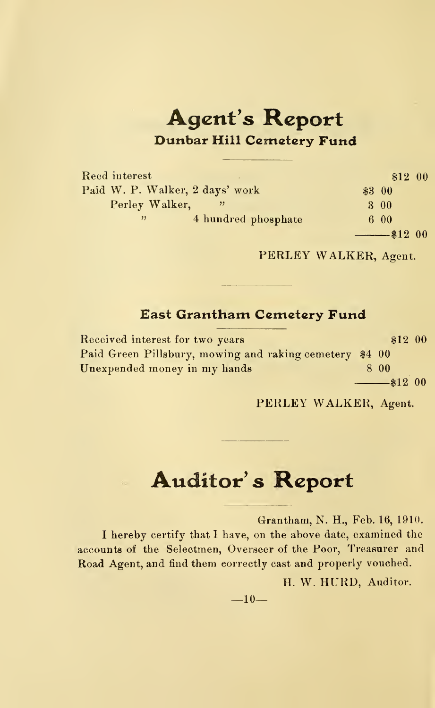# Agent's Report

#### Dunbar Hill Cemetery Fund

| Reed interest                   | \$12 00     |
|---------------------------------|-------------|
| Paid W. P. Walker, 2 days' work | \$3 00      |
| Perley Walker,                  | 3 00        |
| 4 hundred phosphate<br>22       | $6\quad00$  |
|                                 | $-$ \$12 00 |

PERLEY WALKER, Agent.

#### East Grantham Cemetery Fund

Received interest for two years  $$12 \t00$ Paid Green Pillsbury, mowing and raking cemetery \$4 00 Unexpended money in my hands 8 00  $-$ \$12 00

PERLEY WALKER, Agent.

#### Auditor's Report

Grantham, N. H., Feb. 16, 1910. <sup>I</sup> hereby certify that <sup>I</sup> have, on the above date, examined the accounts of the Selectmen, Overseer of the Poor, Treasurer and Road Agent, and find them eorrectly cast and properly vouched.

H. W. HURD, Auditor.

 $-10-$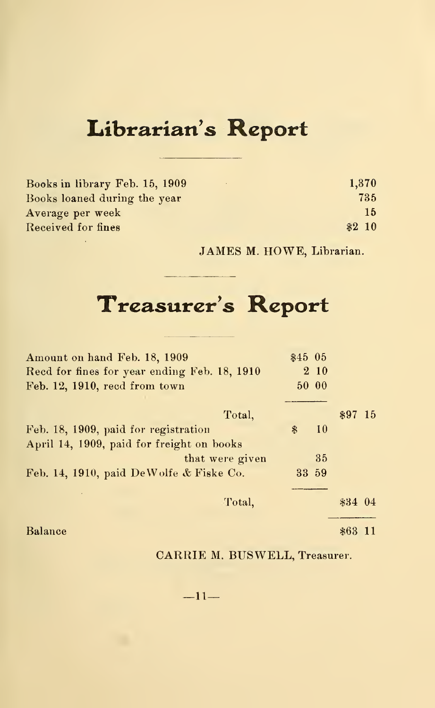#### Librarian's Report

| Books in library Feb. 15, 1909<br><b>A</b> | 1,370    |
|--------------------------------------------|----------|
| Books loaned during the year               | 735      |
| Average per week                           | 15       |
| Received for fines                         | $$2\;10$ |

JAMES M. HOWE, Librarian.

## Treasurer's Report

| \$<br>10 |                                     |                                 |
|----------|-------------------------------------|---------------------------------|
|          |                                     |                                 |
| 35       |                                     |                                 |
|          |                                     |                                 |
|          |                                     |                                 |
|          |                                     |                                 |
|          |                                     |                                 |
|          | $$45\ 05$<br>2 10<br>50 00<br>33 59 | \$97,15<br>$*34$ 04<br>$$63$ 11 |

#### CARRIE M. BUSWELL, Treasurer.

 $-11-$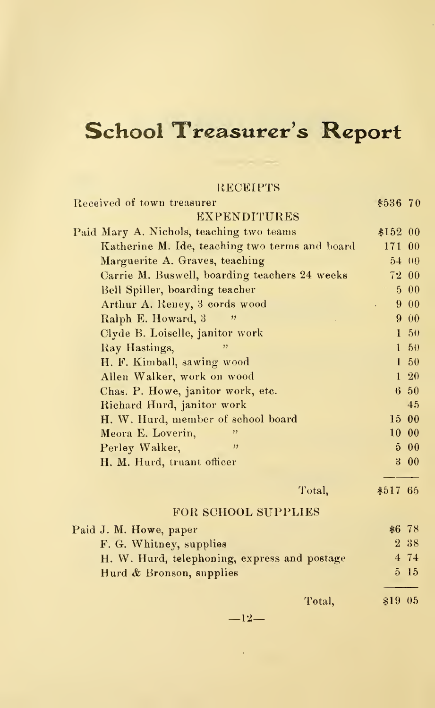# School Treasurer's Report

#### **RECEIPTS**

| Received of town treasurer                     |        | \$536 70 |          |
|------------------------------------------------|--------|----------|----------|
| <b>EXPENDITURES</b>                            |        |          |          |
| Paid Mary A. Nichols, teaching two teams       |        | \$15200  |          |
| Katherine M. Ide, teaching two terms and board |        | 171 00   |          |
| Marguerite A. Graves, teaching                 |        |          | 54 00    |
| Carrie M. Buswell, boarding teachers 24 weeks  |        |          | 72 00    |
| Bell Spiller, boarding teacher                 |        |          | 500      |
| Arthur A. Reney, 3 cords wood                  |        | έ÷,      | 900      |
| Ralph E. Howard, 3                             |        |          | 900      |
| Clyde B. Loiselle, janitor work                |        |          | $1 - 50$ |
| Ray Hastings,<br>77                            |        |          | 1,50     |
| H. F. Kimball, sawing wood                     |        |          | $1\ 50$  |
| Allen Walker, work on wood                     |        |          | $1\,20$  |
| Chas. P. Howe, janitor work, etc.              |        |          | 6 50     |
| Richard Hurd, janitor work                     |        |          | 45       |
| H. W. Hurd, member of school board             |        | 15 00    |          |
| Meora E. Loverin,                              |        |          | 10 00    |
| Perley Walker,<br>, ,                          |        |          | 500      |
| H. M. Hurd, truant officer                     |        |          | 300      |
|                                                | Total, | \$517 65 |          |
| FOR SCHOOL SUPPLIES                            |        |          |          |
| Paid J. M. Howe, paper                         |        | *6 78    |          |
| F. G. Whitney, supplies                        |        |          | 2 38     |
| H. W. Hurd, telephoning, express and postage   |        |          | 4 74     |
| Hurd & Bronson, supplies                       |        |          | $5\,15$  |
|                                                | Total, | \$19 05  |          |
| $-12-$                                         |        |          |          |
|                                                |        |          |          |

V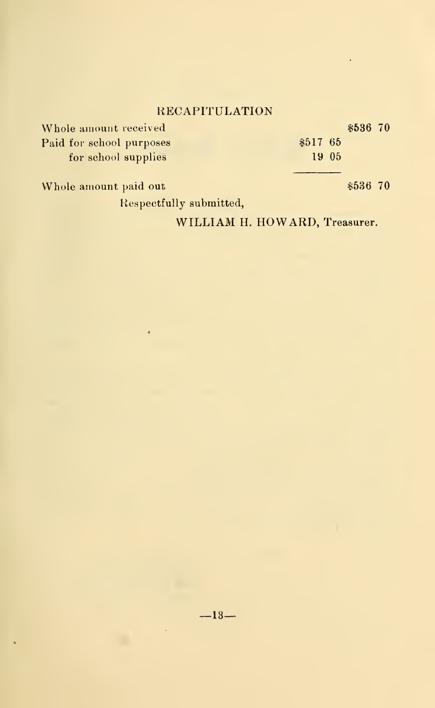#### RECAPITULATION

| \$536 70 |
|----------|
| \$517 65 |
| 19 05    |
|          |

Whole amount paid out  $$536\,70$ 

Respectfully submitted,

WILLIAM H. HOWARD, Treasurer.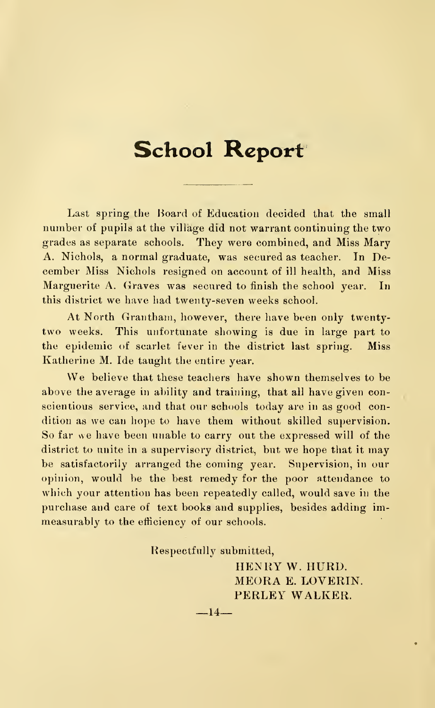#### School Report

Last spring the Hoard of Education decided that the small number of pupils at the village did not warrant continuing the two grades as separate schools. They were combined, and Miss Mary A. Nichols, a normal graduate, was secured as teacher. In December Miss Nichols resigned on account of ill health, and Miss Marguerite A. Graves was secured to finish the school year. In this district we have had twenty-seven weeks school.

At North Grantham, however, there have been only twentytwo weeks. This unfortunate showing is due in large part to the epidemic of scarlet fever in the district last spring. Miss Katherine M. Ide taught the entire year.

We believe that these teachers have shown themselves to be above the average in ability and training, that all have given conscientious service, and that our schools today are in as good condition as we can hope to have them without skilled supervision. So far we have been unable to carry out the expressed will of the district to unite in a supervisory district, but we hope that it may be satisfactorily arranged the coming year. Supervision, in our opinion, would be the best remedy for the poor attendance to which your attention has been repeatedly called, would save in the purchase and care of text books and supplies, besides adding immeasurably to the efficiency of our schools.

Respectfully submitted,

HENRY W. HURD. MEORA E. LOVERIN. PERLEY WALKER.

 $-14-$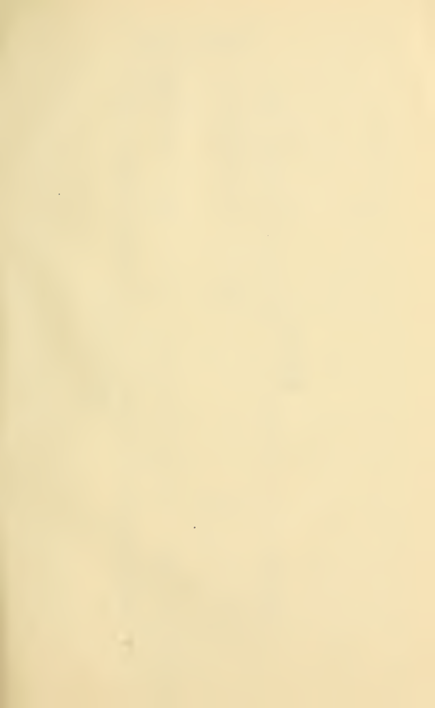$\sigma_{\rm{max}}$ 

 $\Delta \sim$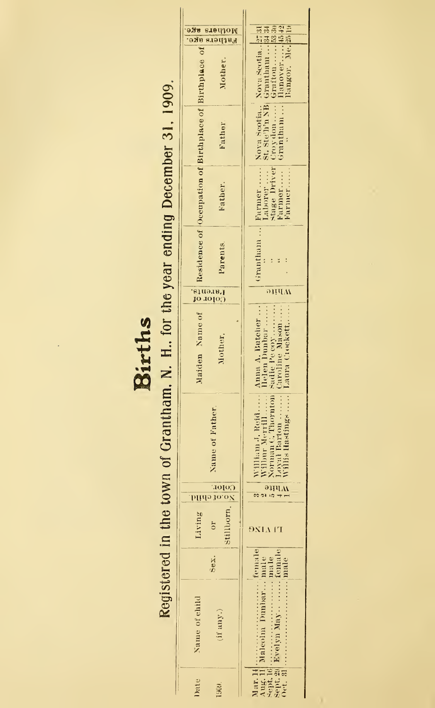Registered in the town of Grantham, N. H., for the year ending December 31, 1909.

| 980<br>етепом                                                                                                                                     | 53 30                                                                                                                                                                           |
|---------------------------------------------------------------------------------------------------------------------------------------------------|---------------------------------------------------------------------------------------------------------------------------------------------------------------------------------|
| Residence of Occupation of Birthplace of Birthplace of $\frac{3}{5}$<br>Parents. Father. Father. Father. Mother. $\frac{2}{5}$<br>B <sub>df</sub> | Nova Scotia Nova Scotia2738<br>St. Ste'h'n NB   Grantham 8434<br>Hanover 45 42<br>Bangor, Me. 25 19                                                                             |
|                                                                                                                                                   | Grafton                                                                                                                                                                         |
|                                                                                                                                                   |                                                                                                                                                                                 |
|                                                                                                                                                   |                                                                                                                                                                                 |
|                                                                                                                                                   |                                                                                                                                                                                 |
|                                                                                                                                                   |                                                                                                                                                                                 |
|                                                                                                                                                   |                                                                                                                                                                                 |
|                                                                                                                                                   |                                                                                                                                                                                 |
|                                                                                                                                                   |                                                                                                                                                                                 |
|                                                                                                                                                   |                                                                                                                                                                                 |
|                                                                                                                                                   |                                                                                                                                                                                 |
|                                                                                                                                                   |                                                                                                                                                                                 |
|                                                                                                                                                   |                                                                                                                                                                                 |
|                                                                                                                                                   | Grantham  Rumer  Nova<br>Laborer  St. Ste'l'h<br>Stage Driver (roydon)<br>Stage Driver (roydon)                                                                                 |
|                                                                                                                                                   |                                                                                                                                                                                 |
|                                                                                                                                                   |                                                                                                                                                                                 |
|                                                                                                                                                   |                                                                                                                                                                                 |
| 10 10 los                                                                                                                                         | ənid                                                                                                                                                                            |
|                                                                                                                                                   |                                                                                                                                                                                 |
| Maiden Name of                                                                                                                                    | Anna A. Butcher<br>Helen Dunbar                                                                                                                                                 |
|                                                                                                                                                   | Caroline Mason.<br>Sadie Pe coy<br>Laura Crockett.                                                                                                                              |
| Mother,                                                                                                                                           |                                                                                                                                                                                 |
|                                                                                                                                                   |                                                                                                                                                                                 |
|                                                                                                                                                   |                                                                                                                                                                                 |
|                                                                                                                                                   |                                                                                                                                                                                 |
|                                                                                                                                                   | Norman C. Thornton<br>William J. Reid<br>ilbur Merrill                                                                                                                          |
| Name of Father.                                                                                                                                   | Willis Hastings<br>Loyal Barton                                                                                                                                                 |
|                                                                                                                                                   |                                                                                                                                                                                 |
|                                                                                                                                                   |                                                                                                                                                                                 |
|                                                                                                                                                   |                                                                                                                                                                                 |
|                                                                                                                                                   |                                                                                                                                                                                 |
| <b>Color</b>                                                                                                                                      | щм                                                                                                                                                                              |
| blidə 10.0%                                                                                                                                       |                                                                                                                                                                                 |
| Living                                                                                                                                            |                                                                                                                                                                                 |
| $\ddot{\rm o}$                                                                                                                                    | ÐХIА<br>TГ                                                                                                                                                                      |
|                                                                                                                                                   |                                                                                                                                                                                 |
| Sex.                                                                                                                                              |                                                                                                                                                                                 |
|                                                                                                                                                   |                                                                                                                                                                                 |
|                                                                                                                                                   |                                                                                                                                                                                 |
|                                                                                                                                                   |                                                                                                                                                                                 |
|                                                                                                                                                   |                                                                                                                                                                                 |
| $(i$ f $i$ ny.)                                                                                                                                   |                                                                                                                                                                                 |
| Name of child                                                                                                                                     |                                                                                                                                                                                 |
|                                                                                                                                                   |                                                                                                                                                                                 |
|                                                                                                                                                   |                                                                                                                                                                                 |
| hte<br><b>909.</b>                                                                                                                                | Mar. 14 (maionin' pinipine). female<br>veja: 15 (maionin' pinipine). (maionin' pinipine).<br>veja: 24 (maionin' pinipine). (maionin' pinipine).<br>och: 24 (maionin' pinipine). |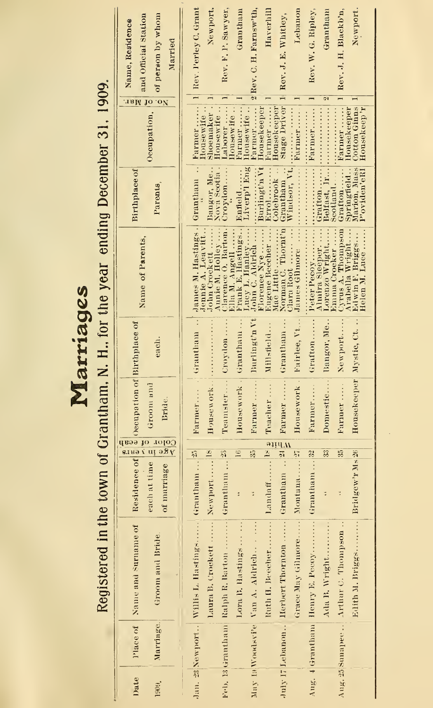# Marriages

# Registered in the town of Grantham, N. H., for the year ending December 31, 1909.

| of person by whom<br>and Official Station<br>Name, Residence<br>Married                      | 1 Rev. Perley C. Grant<br>Newport.                                          | Rev. F. P. Sawyer,<br>Grantham                                                            | 2 Rev. C. H. Farnsw'th,<br>Haverhill<br>Lebanon<br>Rev. J. E. Whitley,                                                          | Rev. W. G. Ripley,<br>Grantham                                   | Newport.<br>Rev. J. H. Blackb'n,                                          |
|----------------------------------------------------------------------------------------------|-----------------------------------------------------------------------------|-------------------------------------------------------------------------------------------|---------------------------------------------------------------------------------------------------------------------------------|------------------------------------------------------------------|---------------------------------------------------------------------------|
| 'ON<br>nar.<br><b>JO</b><br>Occupation.                                                      | Shoemaker.<br>Housewife.<br>Housewife<br>Furmer                             | $F_{\rm{a}111}$ and $F_{\rm{a}111}$<br>Housewife.<br>$\text{Liloover} \dots$<br>Housewife | Stage Driver<br>Housekeeper<br>Housekeepen<br>$\mathbb{F}$ urmer $\cdots$<br>$\text{Farmer.} \dots$<br>Farmer                   | $\overline{\mathcal{C}}$<br>.<br>Farmer<br>.                     | Cotton Ginns<br>Housekeep'r<br>Farmer<br>Housekeeper<br>                  |
| <b>Birthplace of</b><br>Parents,                                                             | Nova Scotia<br>Bangor, Me<br>Grantham                                       | Liverp'l Eng<br>Croydon.<br>Enfield                                                       | Burlingt'n Vt<br>Colebrook<br>Grantham<br>Windsor,<br>Krrol                                                                     | Belfast, Ir.<br>$G$ rafton<br>Scotland.<br>                      | Marion, Mass<br>P'oviden'eRI<br>Springfield.<br>Grafton.                  |
| Name of Parents,                                                                             | James M. Hastings.<br>Annie M. Holley<br>Jennie A. Leavitt<br>John Crockett | Clarence O. Barton<br>Frank E. Hastings<br>Ella M. Angell<br>$_{\text{Lacy L.}$ Hanley    | Norman C. Thornt'n<br>John C. Aldrich.<br>Florence Nye<br>Eugene Beecher<br>James Gilmore<br>Mae Little<br>Jara Root            | Emma Croeker<br>Lorenzo Wright<br>Almira Sleeper.<br>Peter Pecoy | Cyrus A. Thompson<br>Edwin F. Briggs<br>Arabella Wright.<br>Helen M. Luce |
| each.                                                                                        | Grantham                                                                    | Croydon.                                                                                  | Burlingt'n Vt<br>Fairlee, Vt<br>Grantham<br>Millsfield.                                                                         | Bangor, Me<br>Grafton                                            | Newport.                                                                  |
| Residence of $\frac{2}{9}$ $\frac{8}{9}$ (becupation of Birthplace of<br>Groom und<br>Bride. | Housework<br>Farmer                                                         | Housework   Grantham<br>Teamster                                                          | Housework.<br>Farmer<br>$\left  \frac{18}{4} \right $ Teacher<br>Farmer                                                         | Farmer<br>Domestic.                                              | Housekceper Mystic, Ct.<br>Farmer                                         |
| <u> Color</u><br>Age i<br>ĮΟ<br>$\overline{a}$                                               |                                                                             | $\frac{1}{2}$<br>35                                                                       |                                                                                                                                 | 33                                                               | 35                                                                        |
| each at time E<br>of marriage                                                                | $G$ rantham $\ldots$  25 <br>Newport  18                                    | Grantham <sup>23</sup><br>$\ddot{\phantom{0}}$                                            | $\frac{1}{2}$<br>h,<br>Grantham<br>Montana.<br>Landaff                                                                          | Grantham 32<br>$\ddot{\phantom{0}}$                              | Bridgew'r Ms 26<br>ž                                                      |
| Place of   Name and Surname of<br>Groom and Bride                                            | Jan. 23 Newport Willis L. Hastings<br>Laura B. Crockett                     | Feb. 13 Grantham Ralph R. Barton<br>Lora B. Hastings                                      | $\ddot{\cdot}$<br>July I7 Lebanon Herbert Thornton<br>Grace May Gilmore.<br>May 19 Woodsvi'e Van A. Aldrich<br>Ruth H. Beccher. | Aug. 4 Grantham Henry E. Pecoy<br>Ada B. Wright.                 | Edith M. Briggs<br>Aug. 25 Sunapee    Arthur C. Thompson                  |
| Marringe.                                                                                    |                                                                             |                                                                                           |                                                                                                                                 |                                                                  |                                                                           |
| Date<br>1909.                                                                                |                                                                             |                                                                                           |                                                                                                                                 |                                                                  |                                                                           |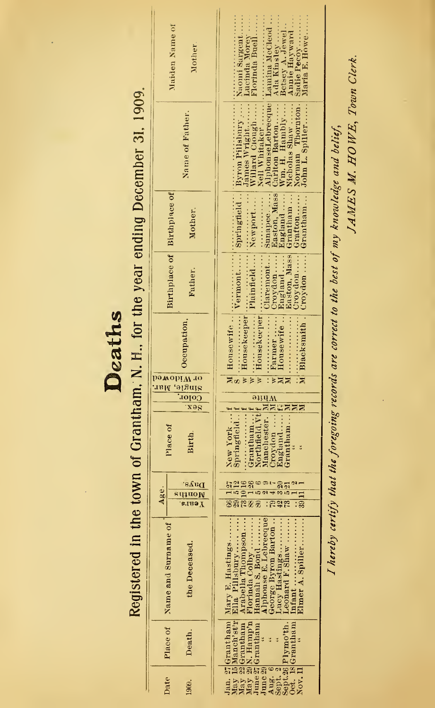Deaths

Registered in the town of Grantham, N. H., for the year ending December 31, 1909.

| Maiden Name of             | Mother.                                                      | Jaria E. Howe<br>Naomi Sargent<br>Ada Kinsley<br>Betsey A. Jewel.<br>Annie Hayward<br>Lucinda Morey<br>Florinda Buell.<br>sadie Pecor                                                                                                                                                                                                                       |
|----------------------------|--------------------------------------------------------------|-------------------------------------------------------------------------------------------------------------------------------------------------------------------------------------------------------------------------------------------------------------------------------------------------------------------------------------------------------------|
|                            | Name of Father.                                              | AlphonseLebrecque Lamina McCleod<br>Norman Thornton<br>Wm. H. Hambly<br>Springfield.   Byron Pillsbury.<br>Carlton Barton<br>Nicholas Shaw<br>John L. Spiller<br>Willard Clough<br>Nell Whitaker<br>James Wright.                                                                                                                                           |
| Birthplace of              | Mother.                                                      | Easton, Mass<br>$\begin{array}{l} \texttt{English} \dots \\ \texttt{Grant} \texttt{han} \dots \end{array}$<br>Grantham<br>Newport<br>Grafton<br>$sum 0$ .<br>.                                                                                                                                                                                              |
| Birthplace of              | Father.                                                      | England<br>Easton, Mass<br>Croydon<br>$Crop$ don<br>Vermont<br>Croydon<br>Claremont<br>Plainfield<br>$\overline{\phantom{a}}$                                                                                                                                                                                                                               |
|                            | Occupation                                                   | $Housekeeper[\ldots, \ldots]$<br>Housewife<br>Housekeeper.<br>.<br>Blacksmith<br>Farmer<br>Housewife                                                                                                                                                                                                                                                        |
| рэморім<br>11 H            | single,                                                      | ≅∞                                                                                                                                                                                                                                                                                                                                                          |
|                            | Color.<br>$x \theta S$                                       |                                                                                                                                                                                                                                                                                                                                                             |
| Place of                   | Birth.                                                       | $\begin{array}{l} \text{Nonthfield with}\\ \text{Manelester},\text{Mz} \\ \text{Conydon},\dots,\text{Mz} \\ \text{Enguad},\dots,\text{Mz} \end{array}$<br>New York  f<br>Springfield f<br>$G$ rantham<br>Croydon<br>England<br>Frantham                                                                                                                     |
| Age.                       | $\overline{\text{arg}}$<br>sy <mark>uo</mark> n<br>$R$ 681.8 | $\frac{691}{520}$<br>39 11<br><b>P</b>                                                                                                                                                                                                                                                                                                                      |
| <b>Name</b> and Surname of | the Deceased                                                 | I housky could be short the face collection<br>Arabella Thompson<br>Florinda Colby<br>Hannah S. Bond<br>Alphonse E. Lebrecque<br>$\begin{array}{ c c } \hline \text{Mary E. Hastings.} & \dots \\ \hline \text{Ella Pillsbury.} & \dots \end{array}$<br>Elmer A. Spiller<br>George Byron Barton<br>Lucy Hastings<br>Leonard F. Shaw<br>${\rm Infant}\ldots$ |
| Place of                   | Death                                                        | May 15 Manch'str<br>May 22 Grantham<br>May 29 N. Hamp'n<br>June 27 Grantham<br>Oct. 18 Grantham<br>Jan. 27 Grantham<br>ept.26 Plymo'th                                                                                                                                                                                                                      |
| Date                       | 1909.                                                        | Aug.<br>Sept.<br>Nov.                                                                                                                                                                                                                                                                                                                                       |

I hereby certify that the foregoing records are correct to the best of my knowledge and belief,

JAMES M. HOWE, Town Clerk.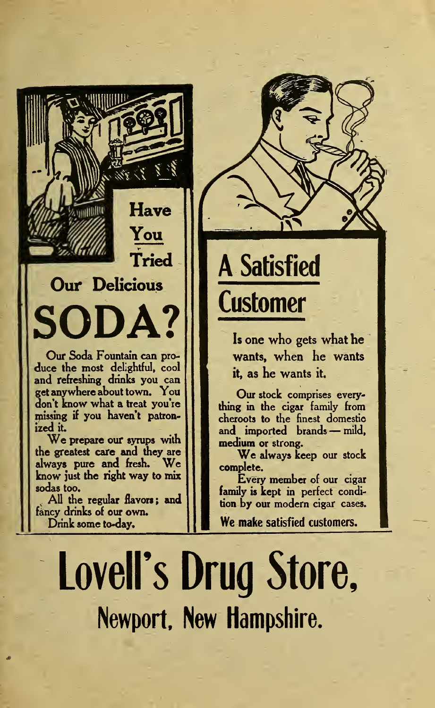Our Soda Fountain can pro duce the most delightful, cool and refreshing drinks you can get anywhere about town. You don't know what a treat you're missing if you haven't patron ized it. We prepare our syrups with

Our Delicious

oonnuu

Tried

Have

You

the greatest care and they are always pure and fresh. We know just the right way to mix sodas too.

All the regular flavors; and fancy drinks of our own. Drink some to-day.

# **A** Satisfied SODA? <u>Customer</u>

Is one who gets what he wants, when he wants it, as he wants it.

Our stock comprises everything in the cigar family from cheroots to the finest domestic and imported brands — mild,<br>medium or strong.

We always keep our stock complete.

Every member of our cigar family is kept in perfect condition by our modern cigar cases.

We make satisfied customers.

Lovell's Drug Store, Newport, New Hampshire.